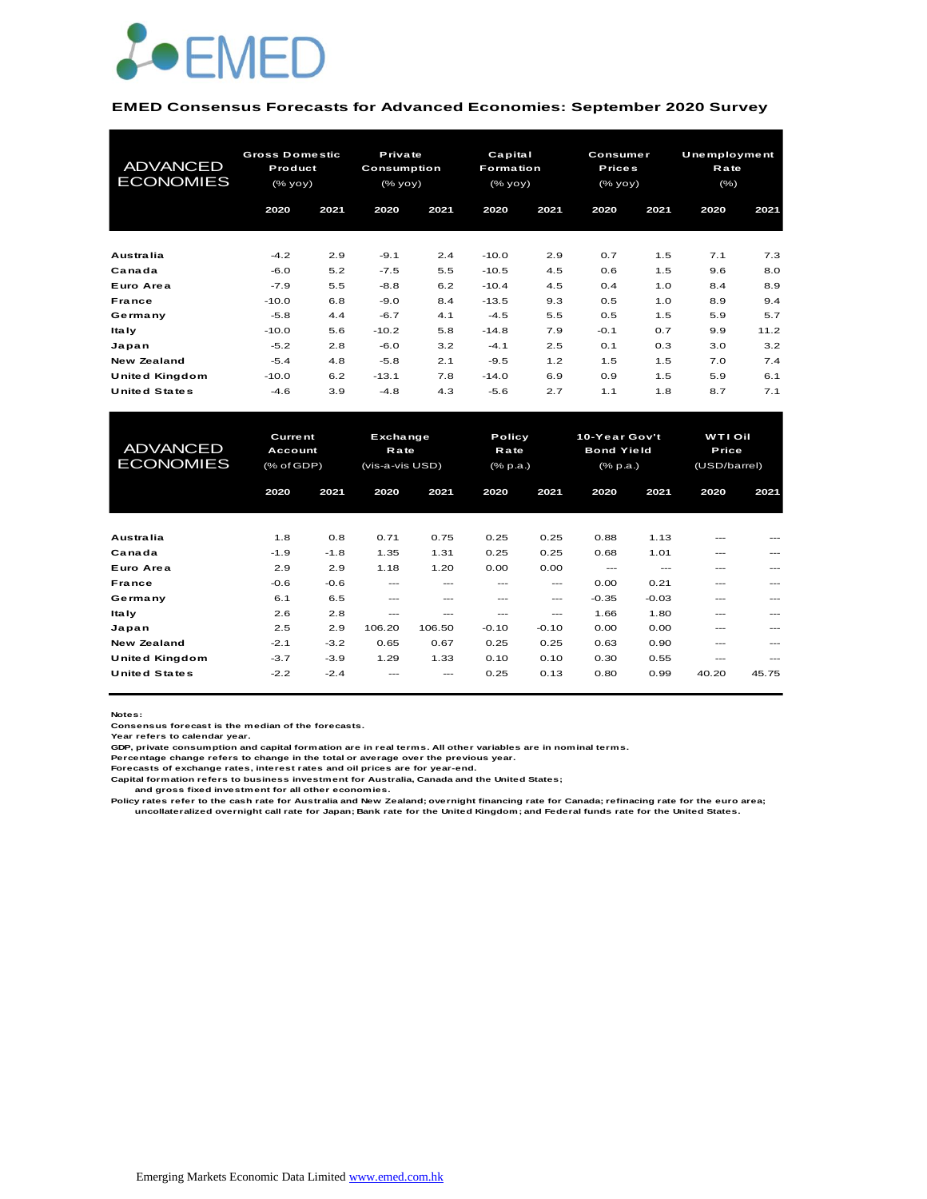

#### **EMED Consensus Forecasts for Advanced Economies: September 2020 Survey**

| <b>ADVANCED</b><br><b>ECONOMIES</b> | <b>Gross Domestic</b><br>Product<br>(% yoy) |      | Private<br><b>Consumption</b><br>(% yoy) |      | Capital<br><b>Formation</b><br>(% |      | <b>Consumer</b><br><b>Prices</b><br>(% yoy) |      | Unemployment<br>Rate<br>$(\% )$ |      |
|-------------------------------------|---------------------------------------------|------|------------------------------------------|------|-----------------------------------|------|---------------------------------------------|------|---------------------------------|------|
|                                     | 2020                                        | 2021 | 2020                                     | 2021 | 2020                              | 2021 | 2020                                        | 2021 | 2020                            | 2021 |
| Australia                           | $-4.2$                                      | 2.9  | $-9.1$                                   | 2.4  | $-10.0$                           | 2.9  | 0.7                                         | 1.5  | 7.1                             | 7.3  |
| Canada                              | $-6.0$                                      | 5.2  | $-7.5$                                   | 5.5  | $-10.5$                           | 4.5  | 0.6                                         | 1.5  | 9.6                             | 8.0  |
| Euro Area                           | $-7.9$                                      | 5.5  | $-8.8$                                   | 6.2  | $-10.4$                           | 4.5  | 0.4                                         | 1.0  | 8.4                             | 8.9  |
| France                              | $-10.0$                                     | 6.8  | $-9.0$                                   | 8.4  | $-13.5$                           | 9.3  | 0.5                                         | 1.0  | 8.9                             | 9.4  |
| Germany                             | $-5.8$                                      | 4.4  | $-6.7$                                   | 4.1  | $-4.5$                            | 5.5  | 0.5                                         | 1.5  | 5.9                             | 5.7  |
| <b>Italy</b>                        | $-10.0$                                     | 5.6  | $-10.2$                                  | 5.8  | $-14.8$                           | 7.9  | $-0.1$                                      | 0.7  | 9.9                             | 11.2 |
| Japan                               | $-5.2$                                      | 2.8  | $-6.0$                                   | 3.2  | $-4.1$                            | 2.5  | 0.1                                         | 0.3  | 3.0                             | 3.2  |
| <b>New Zealand</b>                  | $-5.4$                                      | 4.8  | $-5.8$                                   | 2.1  | $-9.5$                            | 1.2  | 1.5                                         | 1.5  | 7.0                             | 7.4  |
| United Kingdom                      | $-10.0$                                     | 6.2  | $-13.1$                                  | 7.8  | $-14.0$                           | 6.9  | 0.9                                         | 1.5  | 5.9                             | 6.1  |
| <b>United States</b>                | $-4.6$                                      | 3.9  | $-4.8$                                   | 4.3  | $-5.6$                            | 2.7  | 1.1                                         | 1.8  | 8.7                             | 7.1  |

| United Kingdom                      | $-10.0$                                 | 6.2    | $-13.1$                                    | 7.8    | $-14.0$ | 6.9                        | 0.9     | 1.5                                            | 5.9     | 6.1                                            |  |
|-------------------------------------|-----------------------------------------|--------|--------------------------------------------|--------|---------|----------------------------|---------|------------------------------------------------|---------|------------------------------------------------|--|
| <b>United States</b>                | $-4.6$                                  | 3.9    | $-4.8$                                     | 4.3    | $-5.6$  | 2.7                        | 1.1     | 1.8                                            | 8.7     | 7.1                                            |  |
|                                     |                                         |        |                                            |        |         |                            |         |                                                |         |                                                |  |
| <b>ADVANCED</b><br><b>ECONOMIES</b> | <b>Current</b><br>Account<br>(% of GDP) |        | Exchange<br><b>Rate</b><br>(vis-a-vis USD) |        |         | Policy<br>Rate<br>(% p.a.) |         | 10-Year Gov't<br><b>Bond Yield</b><br>(% p.a.) |         | <b>WTI Oil</b><br><b>Price</b><br>(USD/barrel) |  |
|                                     | 2020                                    | 2021   | 2020                                       | 2021   | 2020    | 2021                       | 2020    | 2021                                           | 2020    | 2021                                           |  |
|                                     |                                         |        |                                            |        |         |                            |         |                                                |         |                                                |  |
| Australia                           | 1.8                                     | 0.8    | 0.71                                       | 0.75   | 0.25    | 0.25                       | 0.88    | 1.13                                           |         |                                                |  |
| Canada                              | $-1.9$                                  | $-1.8$ | 1.35                                       | 1.31   | 0.25    | 0.25                       | 0.68    | 1.01                                           | ---     |                                                |  |
| Euro Area                           | 2.9                                     | 2.9    | 1.18                                       | 1.20   | 0.00    | 0.00                       | $---$   | $---$                                          | ---     | ---                                            |  |
| <b>France</b>                       | $-0.6$                                  | $-0.6$ | $---$                                      | ---    | ---     | ---                        | 0.00    | 0.21                                           | ---     |                                                |  |
| Germany                             | 6.1                                     | 6.5    | $- - -$                                    | ---    | ---     | $---$                      | $-0.35$ | $-0.03$                                        | ---     | $---$                                          |  |
| <b>Italy</b>                        | 2.6                                     | 2.8    | ---                                        | ---    | ---     | $---$                      | 1.66    | 1.80                                           | $- - -$ |                                                |  |
| Japan                               | 2.5                                     | 2.9    | 106.20                                     | 106.50 | $-0.10$ | $-0.10$                    | 0.00    | 0.00                                           | ---     | $---$                                          |  |
| <b>New Zealand</b>                  | $-2.1$                                  | $-3.2$ | 0.65                                       | 0.67   | 0.25    | 0.25                       | 0.63    | 0.90                                           | ---     |                                                |  |
| United Kingdom                      | $-3.7$                                  | $-3.9$ | 1.29                                       | 1.33   | 0.10    | 0.10                       | 0.30    | 0.55                                           | $---$   | $\frac{1}{2}$                                  |  |
| <b>United States</b>                | $-2.2$                                  | $-2.4$ |                                            |        | 0.25    | 0.13                       | 0.80    | 0.99                                           | 40.20   | 45.75                                          |  |
|                                     |                                         |        |                                            |        |         |                            |         |                                                |         |                                                |  |

**Notes:** 

**Consensus forecast is the median of the forecasts. Year refers to calendar year.**

**GDP, private consumption and capital formation are in real terms. All other variables are in nominal terms.**

**Percentage change refers to change in the total or average over the previous year. Forecasts of exchange rates, interest rates and oil prices are for year-end.**

**Capital formation refers to business investment for Australia, Canada and the United States;**

 **and gross fixed investment for all other economies.**

Policy rates refer to the cash rate for Australia and New Zealand; overnight financing rate for Canada; refinacing rate for the euro area;<br>uncollateralized overnight call rate for Japan; Bank rate for the United Kingdom; a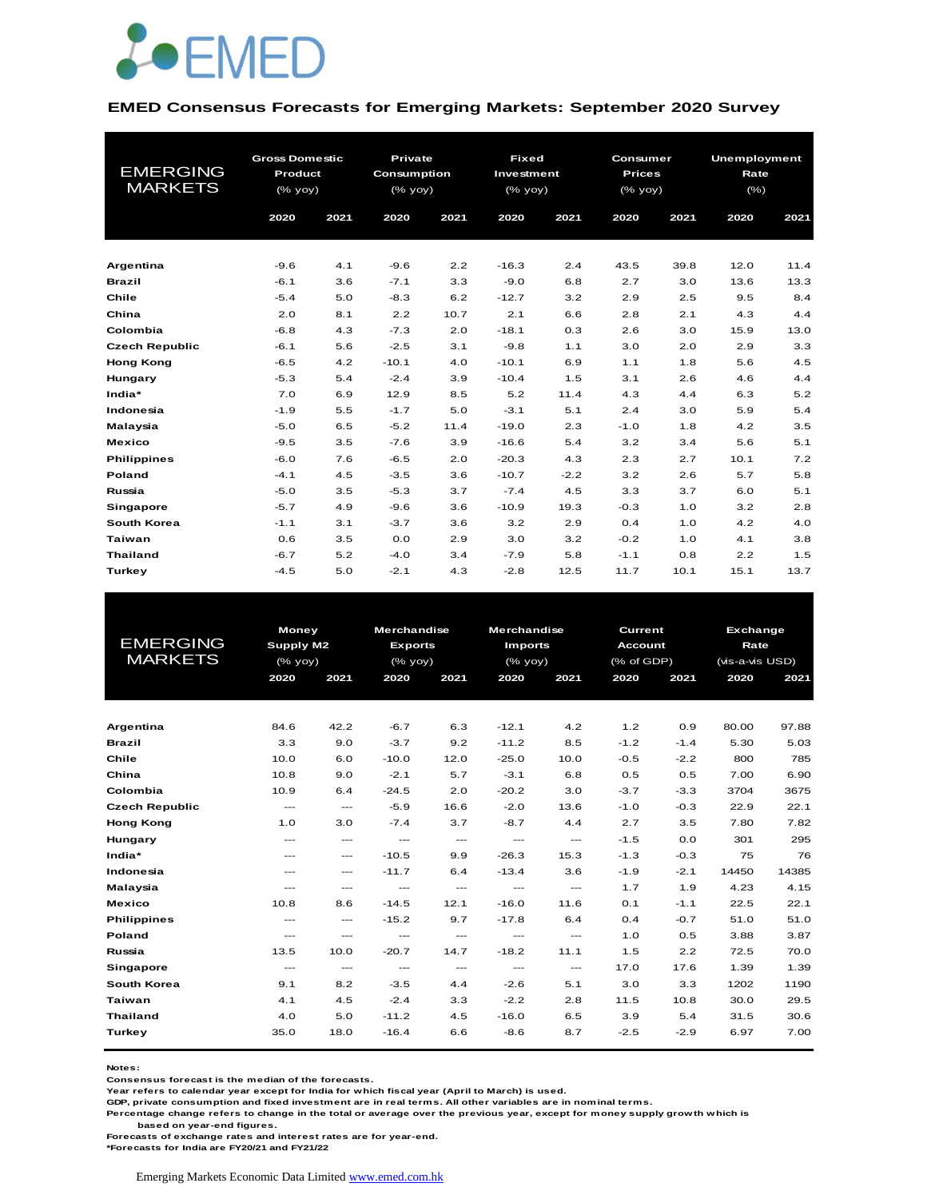

#### **EMED Consensus Forecasts for Emerging Markets: September 2020 Survey**

|                       | <b>Gross Domestic</b> |      | <b>Private</b> |      |            | <b>Fixed</b><br>Consumer |               |      | <b>Unemployment</b> |      |  |
|-----------------------|-----------------------|------|----------------|------|------------|--------------------------|---------------|------|---------------------|------|--|
| <b>EMERGING</b>       | Product               |      | Consumption    |      | Investment |                          | <b>Prices</b> |      | Rate                |      |  |
| <b>MARKETS</b>        | (% yoy)               |      | $(%$ (% yoy)   |      | (% yoy)    |                          | $(%$ (% yoy)  |      | $(\% )$             |      |  |
|                       | 2020                  | 2021 | 2020           | 2021 | 2020       | 2021                     | 2020          | 2021 | 2020                | 2021 |  |
|                       |                       |      |                |      |            |                          |               |      |                     |      |  |
| Argentina             | $-9.6$                | 4.1  | $-9.6$         | 2.2  | $-16.3$    | 2.4                      | 43.5          | 39.8 | 12.0                | 11.4 |  |
| <b>Brazil</b>         | $-6.1$                | 3.6  | $-7.1$         | 3.3  | $-9.0$     | 6.8                      | 2.7           | 3.0  | 13.6                | 13.3 |  |
| Chile                 | $-5.4$                | 5.0  | $-8.3$         | 6.2  | $-12.7$    | 3.2                      | 2.9           | 2.5  | 9.5                 | 8.4  |  |
| China                 | 2.0                   | 8.1  | 2.2            | 10.7 | 2.1        | 6.6                      | 2.8           | 2.1  | 4.3                 | 4.4  |  |
| Colombia              | $-6.8$                | 4.3  | $-7.3$         | 2.0  | $-18.1$    | 0.3                      | 2.6           | 3.0  | 15.9                | 13.0 |  |
| <b>Czech Republic</b> | $-6.1$                | 5.6  | $-2.5$         | 3.1  | $-9.8$     | 1.1                      | 3.0           | 2.0  | 2.9                 | 3.3  |  |
| <b>Hong Kong</b>      | $-6.5$                | 4.2  | $-10.1$        | 4.0  | $-10.1$    | 6.9                      | 1.1           | 1.8  | 5.6                 | 4.5  |  |
| Hungary               | $-5.3$                | 5.4  | $-2.4$         | 3.9  | $-10.4$    | 1.5                      | 3.1           | 2.6  | 4.6                 | 4.4  |  |
| India*                | 7.0                   | 6.9  | 12.9           | 8.5  | 5.2        | 11.4                     | 4.3           | 4.4  | 6.3                 | 5.2  |  |
| Indonesia             | $-1.9$                | 5.5  | $-1.7$         | 5.0  | $-3.1$     | 5.1                      | 2.4           | 3.0  | 5.9                 | 5.4  |  |
| Malaysia              | $-5.0$                | 6.5  | $-5.2$         | 11.4 | $-19.0$    | 2.3                      | $-1.0$        | 1.8  | 4.2                 | 3.5  |  |
| <b>Mexico</b>         | $-9.5$                | 3.5  | $-7.6$         | 3.9  | $-16.6$    | 5.4                      | 3.2           | 3.4  | 5.6                 | 5.1  |  |
| <b>Philippines</b>    | $-6.0$                | 7.6  | $-6.5$         | 2.0  | $-20.3$    | 4.3                      | 2.3           | 2.7  | 10.1                | 7.2  |  |
| Poland                | $-4.1$                | 4.5  | $-3.5$         | 3.6  | $-10.7$    | $-2.2$                   | 3.2           | 2.6  | 5.7                 | 5.8  |  |
| Russia                | $-5.0$                | 3.5  | $-5.3$         | 3.7  | $-7.4$     | 4.5                      | 3.3           | 3.7  | 6.0                 | 5.1  |  |
| Singapore             | $-5.7$                | 4.9  | $-9.6$         | 3.6  | $-10.9$    | 19.3                     | $-0.3$        | 1.0  | 3.2                 | 2.8  |  |
| South Korea           | $-1.1$                | 3.1  | $-3.7$         | 3.6  | 3.2        | 2.9                      | 0.4           | 1.0  | 4.2                 | 4.0  |  |
| Taiwan                | 0.6                   | 3.5  | 0.0            | 2.9  | 3.0        | 3.2                      | $-0.2$        | 1.0  | 4.1                 | 3.8  |  |
| <b>Thailand</b>       | $-6.7$                | 5.2  | $-4.0$         | 3.4  | $-7.9$     | 5.8                      | $-1.1$        | 0.8  | 2.2                 | 1.5  |  |
| Turkey                | $-4.5$                | 5.0  | $-2.1$         | 4.3  | $-2.8$     | 12.5                     | 11.7          | 10.1 | 15.1                | 13.7 |  |

|                       |                   | <b>Money</b>                             |                                          | Merchandise       | Merchandise                         |                                     | <b>Current</b> |        | <b>Exchange</b> |       |
|-----------------------|-------------------|------------------------------------------|------------------------------------------|-------------------|-------------------------------------|-------------------------------------|----------------|--------|-----------------|-------|
| <b>EMERGING</b>       | Supply M2         |                                          | <b>Exports</b>                           |                   | <b>Imports</b>                      |                                     | <b>Account</b> |        | Rate            |       |
| <b>MARKETS</b>        | $(%$ (% yoy)      |                                          | (% yoy)                                  |                   | (% yoy)                             |                                     | (% of GDP)     |        | (vis-a-vis USD) |       |
|                       | 2020              | 2021                                     | 2020                                     | 2021              | 2020                                | 2021                                | 2020           | 2021   | 2020            | 2021  |
|                       |                   |                                          |                                          |                   |                                     |                                     |                |        |                 |       |
|                       |                   |                                          |                                          |                   |                                     |                                     |                |        |                 |       |
| Argentina             | 84.6              | 42.2                                     | $-6.7$                                   | 6.3               | $-12.1$                             | 4.2                                 | 1.2            | 0.9    | 80.00           | 97.88 |
| <b>Brazil</b>         | 3.3               | 9.0                                      | $-3.7$                                   | 9.2               | $-11.2$                             | 8.5                                 | $-1.2$         | $-1.4$ | 5.30            | 5.03  |
| Chile                 | 10.0              | 6.0                                      | $-10.0$                                  | 12.0              | $-25.0$                             | 10.0                                | $-0.5$         | $-2.2$ | 800             | 785   |
| China                 | 10.8              | 9.0                                      | $-2.1$                                   | 5.7               | $-3.1$                              | 6.8                                 | 0.5            | 0.5    | 7.00            | 6.90  |
| Colombia              | 10.9              | 6.4                                      | $-24.5$                                  | 2.0               | $-20.2$                             | 3.0                                 | $-3.7$         | $-3.3$ | 3704            | 3675  |
| <b>Czech Republic</b> | $\qquad \qquad -$ | $\hspace{0.05cm} \ldots \hspace{0.05cm}$ | $-5.9$                                   | 16.6              | $-2.0$                              | 13.6                                | $-1.0$         | $-0.3$ | 22.9            | 22.1  |
| <b>Hong Kong</b>      | 1.0               | 3.0                                      | $-7.4$                                   | 3.7               | $-8.7$                              | 4.4                                 | 2.7            | 3.5    | 7.80            | 7.82  |
| Hungary               | $---$             | $\sim$ $\sim$                            | $\sim$ $\sim$                            | $\cdots$          | $\hspace{0.05cm} \ldots$            | $\hspace{0.05cm} \ldots$            | $-1.5$         | 0.0    | 301             | 295   |
| India*                | $---$             | $\qquad \qquad \cdots$                   | $-10.5$                                  | 9.9               | $-26.3$                             | 15.3                                | $-1.3$         | $-0.3$ | 75              | 76    |
| Indonesia             | $\frac{1}{2}$     | $\sim$ $\sim$                            | $-11.7$                                  | 6.4               | $-13.4$                             | 3.6                                 | $-1.9$         | $-2.1$ | 14450           | 14385 |
| Malaysia              | $---$             | $---$                                    | $\cdots$                                 | $\cdots$          | $\hspace{0.05cm}---\hspace{0.05cm}$ | $\hspace{0.05cm}---\hspace{0.05cm}$ | 1.7            | 1.9    | 4.23            | 4.15  |
| <b>Mexico</b>         | 10.8              | 8.6                                      | $-14.5$                                  | 12.1              | $-16.0$                             | 11.6                                | O.1            | $-1.1$ | 22.5            | 22.1  |
| <b>Philippines</b>    | $\frac{1}{2}$     | $\hspace{0.05cm} \ldots$                 | $-15.2$                                  | 9.7               | $-17.8$                             | 6.4                                 | 0.4            | $-0.7$ | 51.0            | 51.0  |
| Poland                | $\frac{1}{2}$     | $\sim$ $\sim$                            | $\hspace{0.05cm} \ldots \hspace{0.05cm}$ | $\qquad \qquad -$ | $\hspace{0.05cm} \ldots$            | $\hspace{0.05cm} \ldots$            | 1.0            | 0.5    | 3.88            | 3.87  |
| Russia                | 13.5              | 10.0                                     | $-20.7$                                  | 14.7              | $-18.2$                             | 11.1                                | 1.5            | 2.2    | 72.5            | 70.0  |
| Singapore             | $\overline{a}$    | $\hspace{0.05cm} \ldots$                 | $\hspace{0.05cm} \ldots$                 | $\cdots$          | $\hspace{0.05cm} \ldots$            | $\hspace{0.05cm}---\hspace{0.05cm}$ | 17.0           | 17.6   | 1.39            | 1.39  |
| South Korea           | 9.1               | 8.2                                      | $-3.5$                                   | 4.4               | $-2.6$                              | 5.1                                 | 3.0            | 3.3    | 1202            | 1190  |
| Taiwan                | 4.1               | 4.5                                      | $-2.4$                                   | 3.3               | $-2.2$                              | 2.8                                 | 11.5           | 10.8   | 30.0            | 29.5  |
| <b>Thailand</b>       | 4.0               | 5.0                                      | $-11.2$                                  | 4.5               | $-16.0$                             | 6.5                                 | 3.9            | 5.4    | 31.5            | 30.6  |
| Turkey                | 35.0              | 18.0                                     | $-16.4$                                  | 6.6               | $-8.6$                              | 8.7                                 | $-2.5$         | $-2.9$ | 6.97            | 7.00  |
|                       |                   |                                          |                                          |                   |                                     |                                     |                |        |                 |       |

**Notes:** 

**Consensus forecast is the median of the forecasts.**

**Year refers to calendar year except for India for which fiscal year (April to March) is used.**

**GDP, private consumption and fixed investment are in real terms. All other variables are in nominal terms.**

**Percentage change refers to change in the total or average over the previous year, except for money supply growth which is** 

 **based on year-end figures.**

**Forecasts of exchange rates and interest rates are for year-end.**

**\*Forecasts for India are FY20/21 and FY21/22**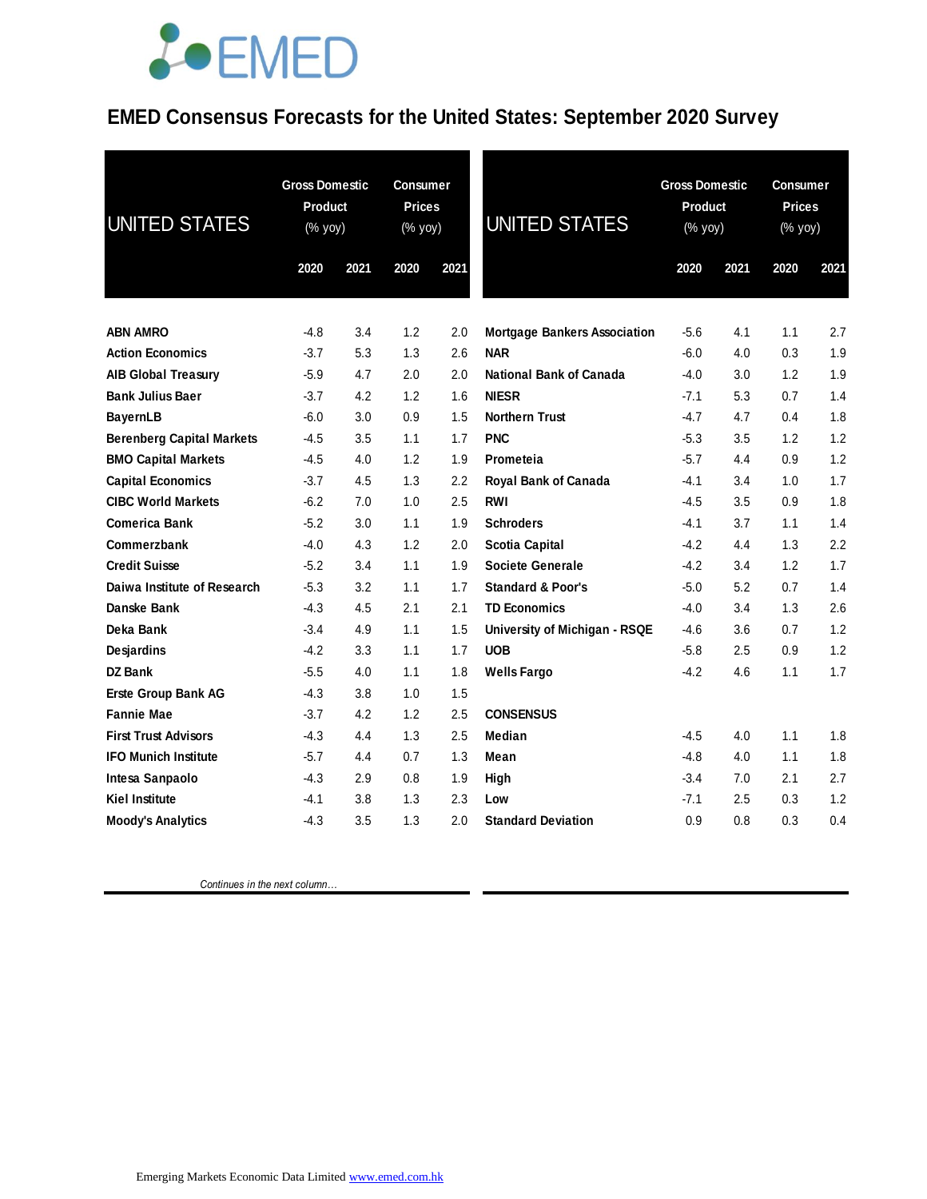### *<u>LOEMED</u>*

### **EMED Consensus Forecasts for the United States: September 2020 Survey**

| <b>UNITED STATES</b>             | <b>Gross Domestic</b><br>Product<br>(% yoy) |      | <b>Consumer</b><br><b>Prices</b><br>(% yoy) |         | <b>UNITED STATES</b>                |        | <b>Gross Domestic</b><br>Product<br>(% yoy) |      | Consumer<br><b>Prices</b><br>$(% \mathsf{Y}^{\prime }\mathsf{Y}^{\prime }\mathsf{Y}^{\prime })$ |
|----------------------------------|---------------------------------------------|------|---------------------------------------------|---------|-------------------------------------|--------|---------------------------------------------|------|-------------------------------------------------------------------------------------------------|
|                                  | 2020                                        | 2021 | 2020                                        | 2021    |                                     | 2020   | 2021                                        | 2020 | 2021                                                                                            |
| <b>ABN AMRO</b>                  | -4.8                                        | 3.4  | 1.2                                         | 2.0     | <b>Mortgage Bankers Association</b> | $-5.6$ | 4.1                                         | 1.1  | 2.7                                                                                             |
| <b>Action Economics</b>          | $-3.7$                                      | 5.3  | 1.3                                         | 2.6     | <b>NAR</b>                          | $-6.0$ | 4.0                                         | 0.3  | 1.9                                                                                             |
| <b>AIB Global Treasury</b>       | $-5.9$                                      | 4.7  | 2.0                                         | 2.0     | <b>National Bank of Canada</b>      | $-4.0$ | 3.0                                         | 1.2  | 1.9                                                                                             |
| <b>Bank Julius Baer</b>          | $-3.7$                                      | 4.2  | 1.2                                         | 1.6     | <b>NIESR</b>                        | $-7.1$ | 5.3                                         | 0.7  | 1.4                                                                                             |
| <b>BayernLB</b>                  | $-6.0$                                      | 3.0  | 0.9                                         | 1.5     | <b>Northern Trust</b>               | $-4.7$ | 4.7                                         | 0.4  | 1.8                                                                                             |
| <b>Berenberg Capital Markets</b> | -4.5                                        | 3.5  | 1.1                                         | 1.7     | <b>PNC</b>                          | $-5.3$ | 3.5                                         | 1.2  | 1.2                                                                                             |
| <b>BMO Capital Markets</b>       | $-4.5$                                      | 4.0  | 1.2                                         | 1.9     | Prometeia                           | $-5.7$ | 4.4                                         | 0.9  | 1.2                                                                                             |
| <b>Capital Economics</b>         | $-3.7$                                      | 4.5  | 1.3                                         | $2.2\,$ | Royal Bank of Canada                | $-4.1$ | 3.4                                         | 1.0  | 1.7                                                                                             |
| <b>CIBC World Markets</b>        | $-6.2$                                      | 7.0  | 1.0                                         | 2.5     | RWI                                 | $-4.5$ | 3.5                                         | 0.9  | 1.8                                                                                             |
| <b>Comerica Bank</b>             | $-5.2$                                      | 3.0  | 1.1                                         | 1.9     | <b>Schroders</b>                    | $-4.1$ | 3.7                                         | 1.1  | 1.4                                                                                             |
| Commerzbank                      | -4.0                                        | 4.3  | 1.2                                         | 2.0     | <b>Scotia Capital</b>               | $-4.2$ | 4.4                                         | 1.3  | 2.2                                                                                             |
| <b>Credit Suisse</b>             | $-5.2$                                      | 3.4  | 1.1                                         | 1.9     | <b>Societe Generale</b>             | $-4.2$ | 3.4                                         | 1.2  | 1.7                                                                                             |
| Daiwa Institute of Research      | $-5.3$                                      | 3.2  | 1.1                                         | 1.7     | <b>Standard &amp; Poor's</b>        | $-5.0$ | 5.2                                         | 0.7  | 1.4                                                                                             |
| Danske Bank                      | $-4.3$                                      | 4.5  | 2.1                                         | 2.1     | <b>TD Economics</b>                 | $-4.0$ | 3.4                                         | 1.3  | 2.6                                                                                             |
| Deka Bank                        | $-3.4$                                      | 4.9  | 1.1                                         | 1.5     | University of Michigan - RSQE       | $-4.6$ | 3.6                                         | 0.7  | 1.2                                                                                             |
| <b>Desjardins</b>                | $-4.2$                                      | 3.3  | 1.1                                         | 1.7     | <b>UOB</b>                          | $-5.8$ | 2.5                                         | 0.9  | 1.2                                                                                             |
| <b>DZ Bank</b>                   | $-5.5$                                      | 4.0  | 1.1                                         | 1.8     | <b>Wells Fargo</b>                  | $-4.2$ | 4.6                                         | 1.1  | 1.7                                                                                             |
| <b>Erste Group Bank AG</b>       | $-4.3$                                      | 3.8  | 1.0                                         | 1.5     |                                     |        |                                             |      |                                                                                                 |
| <b>Fannie Mae</b>                | $-3.7$                                      | 4.2  | 1.2                                         | 2.5     | <b>CONSENSUS</b>                    |        |                                             |      |                                                                                                 |
| <b>First Trust Advisors</b>      | $-4.3$                                      | 4.4  | 1.3                                         | 2.5     | Median                              | $-4.5$ | 4.0                                         | 1.1  | 1.8                                                                                             |
| <b>IFO Munich Institute</b>      | $-5.7$                                      | 4.4  | 0.7                                         | 1.3     | Mean                                | $-4.8$ | 4.0                                         | 1.1  | 1.8                                                                                             |
| Intesa Sanpaolo                  | $-4.3$                                      | 2.9  | 0.8                                         | 1.9     | High                                | $-3.4$ | 7.0                                         | 2.1  | 2.7                                                                                             |
| <b>Kiel Institute</b>            | -4.1                                        | 3.8  | 1.3                                         | 2.3     | Low                                 | $-7.1$ | 2.5                                         | 0.3  | 1.2                                                                                             |
| <b>Moody's Analytics</b>         | -4.3                                        | 3.5  | 1.3                                         | 2.0     | <b>Standard Deviation</b>           | 0.9    | 0.8                                         | 0.3  | 0.4                                                                                             |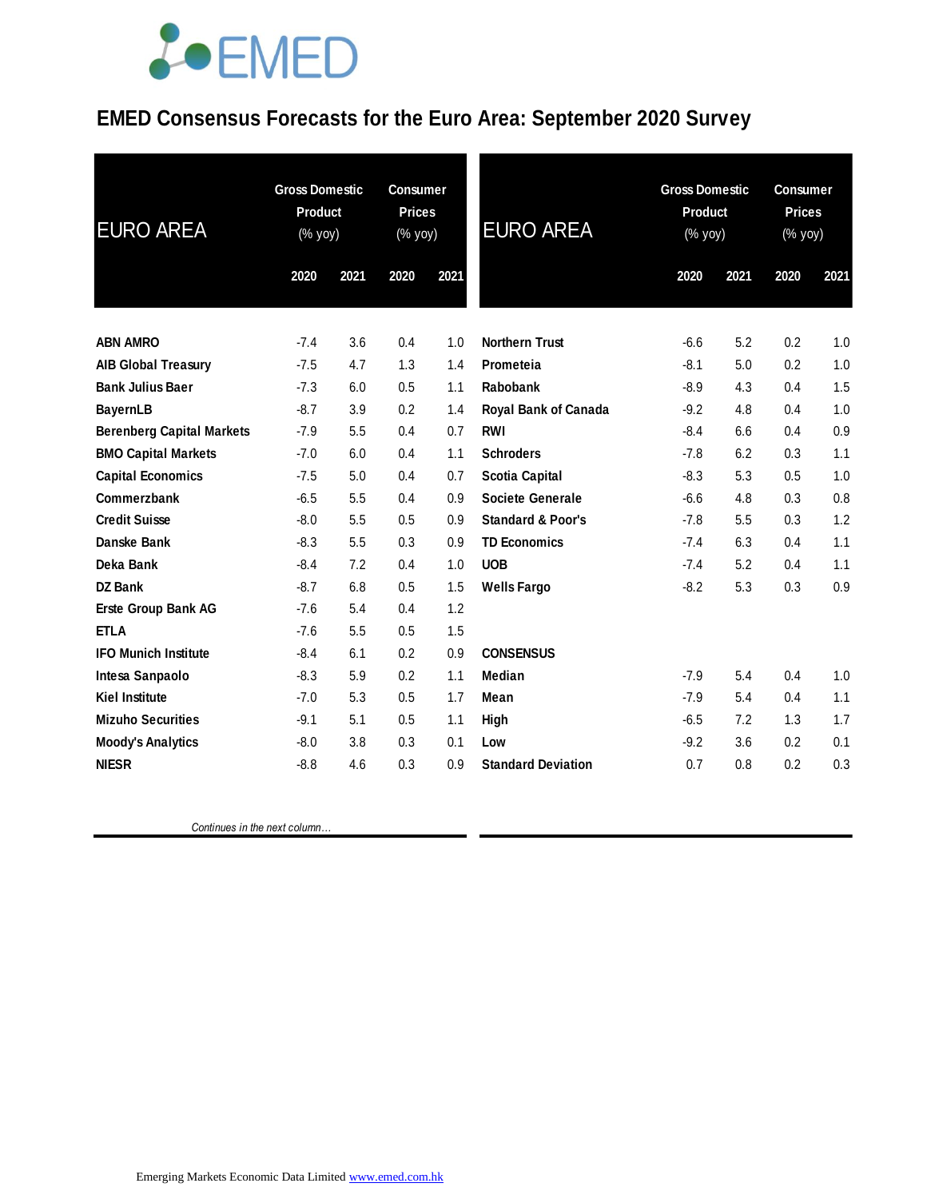## **JOEMED**

### **EMED Consensus Forecasts for the Euro Area: September 2020 Survey**

| <b>EURO AREA</b>                 | <b>Gross Domestic</b><br><b>Product</b><br>(% yoy) |      | <b>Consumer</b><br><b>Prices</b><br>(% yoy) |      | <b>EURO AREA</b>             | <b>Gross Domestic</b><br><b>Product</b><br>(% yoy) |      | <b>Consumer</b><br><b>Prices</b><br>(% yoy) |      |
|----------------------------------|----------------------------------------------------|------|---------------------------------------------|------|------------------------------|----------------------------------------------------|------|---------------------------------------------|------|
|                                  | 2020                                               | 2021 | 2020                                        | 2021 |                              | 2020                                               | 2021 | 2020                                        | 2021 |
|                                  |                                                    |      |                                             |      |                              |                                                    |      |                                             |      |
| <b>ABN AMRO</b>                  | $-7.4$                                             | 3.6  | 0.4                                         | 1.0  | <b>Northern Trust</b>        | $-6.6$                                             | 5.2  | 0.2                                         | 1.0  |
| <b>AIB Global Treasury</b>       | $-7.5$                                             | 4.7  | 1.3                                         | 1.4  | Prometeia                    | $-8.1$                                             | 5.0  | 0.2                                         | 1.0  |
| <b>Bank Julius Baer</b>          | $-7.3$                                             | 6.0  | 0.5                                         | 1.1  | Rabobank                     | $-8.9$                                             | 4.3  | 0.4                                         | 1.5  |
| <b>BayernLB</b>                  | $-8.7$                                             | 3.9  | 0.2                                         | 1.4  | Royal Bank of Canada         | $-9.2$                                             | 4.8  | 0.4                                         | 1.0  |
| <b>Berenberg Capital Markets</b> | $-7.9$                                             | 5.5  | 0.4                                         | 0.7  | <b>RWI</b>                   | $-8.4$                                             | 6.6  | 0.4                                         | 0.9  |
| <b>BMO Capital Markets</b>       | $-7.0$                                             | 6.0  | 0.4                                         | 1.1  | <b>Schroders</b>             | $-7.8$                                             | 6.2  | 0.3                                         | 1.1  |
| <b>Capital Economics</b>         | $-7.5$                                             | 5.0  | 0.4                                         | 0.7  | <b>Scotia Capital</b>        | $-8.3$                                             | 5.3  | 0.5                                         | 1.0  |
| Commerzbank                      | $-6.5$                                             | 5.5  | 0.4                                         | 0.9  | <b>Societe Generale</b>      | $-6.6$                                             | 4.8  | 0.3                                         | 0.8  |
| <b>Credit Suisse</b>             | $-8.0$                                             | 5.5  | 0.5                                         | 0.9  | <b>Standard &amp; Poor's</b> | $-7.8$                                             | 5.5  | 0.3                                         | 1.2  |
| Danske Bank                      | $-8.3$                                             | 5.5  | 0.3                                         | 0.9  | <b>TD Economics</b>          | $-7.4$                                             | 6.3  | 0.4                                         | 1.1  |
| Deka Bank                        | $-8.4$                                             | 7.2  | 0.4                                         | 1.0  | <b>UOB</b>                   | $-7.4$                                             | 5.2  | 0.4                                         | 1.1  |
| <b>DZ Bank</b>                   | $-8.7$                                             | 6.8  | 0.5                                         | 1.5  | <b>Wells Fargo</b>           | $-8.2$                                             | 5.3  | 0.3                                         | 0.9  |
| <b>Erste Group Bank AG</b>       | $-7.6$                                             | 5.4  | 0.4                                         | 1.2  |                              |                                                    |      |                                             |      |
| <b>ETLA</b>                      | $-7.6$                                             | 5.5  | 0.5                                         | 1.5  |                              |                                                    |      |                                             |      |
| <b>IFO Munich Institute</b>      | $-8.4$                                             | 6.1  | 0.2                                         | 0.9  | <b>CONSENSUS</b>             |                                                    |      |                                             |      |
| Intesa Sanpaolo                  | $-8.3$                                             | 5.9  | 0.2                                         | 1.1  | Median                       | $-7.9$                                             | 5.4  | 0.4                                         | 1.0  |
| <b>Kiel Institute</b>            | $-7.0$                                             | 5.3  | 0.5                                         | 1.7  | Mean                         | $-7.9$                                             | 5.4  | 0.4                                         | 1.1  |
| <b>Mizuho Securities</b>         | $-9.1$                                             | 5.1  | 0.5                                         | 1.1  | High                         | $-6.5$                                             | 7.2  | 1.3                                         | 1.7  |
| <b>Moody's Analytics</b>         | $-8.0$                                             | 3.8  | 0.3                                         | 0.1  | Low                          | $-9.2$                                             | 3.6  | 0.2                                         | 0.1  |
| <b>NIESR</b>                     | $-8.8$                                             | 4.6  | 0.3                                         | 0.9  | <b>Standard Deviation</b>    | 0.7                                                | 0.8  | 0.2                                         | 0.3  |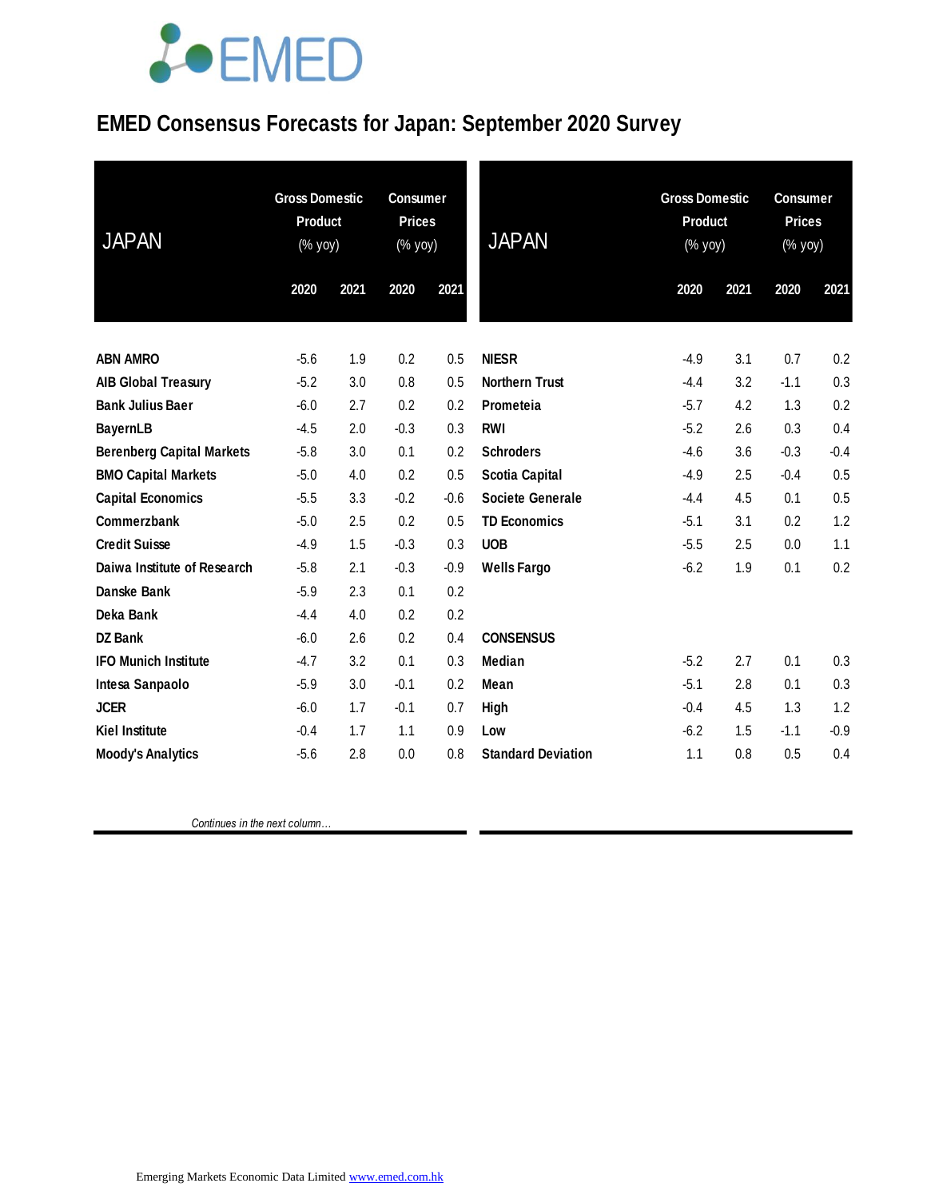# LOEMED

### **EMED Consensus Forecasts for Japan: September 2020 Survey**

| <b>JAPAN</b>                     | <b>Gross Domestic</b><br>Product<br>(% yoy) |      | <b>Consumer</b><br><b>Prices</b><br>(% yoy) |        | <b>JAPAN</b>              | <b>Gross Domestic</b><br><b>Product</b><br>(% yoy) |      | <b>Consumer</b><br><b>Prices</b><br>(% yoy) |        |
|----------------------------------|---------------------------------------------|------|---------------------------------------------|--------|---------------------------|----------------------------------------------------|------|---------------------------------------------|--------|
|                                  | 2020                                        | 2021 | 2020                                        | 2021   |                           | 2020                                               | 2021 | 2020                                        | 2021   |
|                                  |                                             |      |                                             |        |                           |                                                    |      |                                             |        |
| <b>ABN AMRO</b>                  | $-5.6$                                      | 1.9  | 0.2                                         | 0.5    | <b>NIESR</b>              | $-4.9$                                             | 3.1  | 0.7                                         | 0.2    |
| <b>AIB Global Treasury</b>       | $-5.2$                                      | 3.0  | 0.8                                         | 0.5    | <b>Northern Trust</b>     | $-4.4$                                             | 3.2  | $-1.1$                                      | 0.3    |
| <b>Bank Julius Baer</b>          | $-6.0$                                      | 2.7  | 0.2                                         | 0.2    | Prometeia                 | $-5.7$                                             | 4.2  | 1.3                                         | 0.2    |
| <b>BayernLB</b>                  | $-4.5$                                      | 2.0  | $-0.3$                                      | 0.3    | <b>RWI</b>                | $-5.2$                                             | 2.6  | 0.3                                         | 0.4    |
| <b>Berenberg Capital Markets</b> | $-5.8$                                      | 3.0  | 0.1                                         | 0.2    | <b>Schroders</b>          | $-4.6$                                             | 3.6  | $-0.3$                                      | $-0.4$ |
| <b>BMO Capital Markets</b>       | $-5.0$                                      | 4.0  | 0.2                                         | 0.5    | <b>Scotia Capital</b>     | $-4.9$                                             | 2.5  | $-0.4$                                      | 0.5    |
| <b>Capital Economics</b>         | $-5.5$                                      | 3.3  | $-0.2$                                      | $-0.6$ | <b>Societe Generale</b>   | $-4.4$                                             | 4.5  | 0.1                                         | 0.5    |
| Commerzbank                      | $-5.0$                                      | 2.5  | 0.2                                         | 0.5    | <b>TD Economics</b>       | $-5.1$                                             | 3.1  | 0.2                                         | 1.2    |
| <b>Credit Suisse</b>             | $-4.9$                                      | 1.5  | $-0.3$                                      | 0.3    | <b>UOB</b>                | $-5.5$                                             | 2.5  | 0.0                                         | 1.1    |
| Daiwa Institute of Research      | $-5.8$                                      | 2.1  | $-0.3$                                      | $-0.9$ | <b>Wells Fargo</b>        | $-6.2$                                             | 1.9  | 0.1                                         | 0.2    |
| Danske Bank                      | $-5.9$                                      | 2.3  | 0.1                                         | 0.2    |                           |                                                    |      |                                             |        |
| Deka Bank                        | $-4.4$                                      | 4.0  | 0.2                                         | 0.2    |                           |                                                    |      |                                             |        |
| DZ Bank                          | $-6.0$                                      | 2.6  | 0.2                                         | 0.4    | <b>CONSENSUS</b>          |                                                    |      |                                             |        |
| <b>IFO Munich Institute</b>      | $-4.7$                                      | 3.2  | 0.1                                         | 0.3    | Median                    | $-5.2$                                             | 2.7  | 0.1                                         | 0.3    |
| Intesa Sanpaolo                  | $-5.9$                                      | 3.0  | $-0.1$                                      | 0.2    | Mean                      | $-5.1$                                             | 2.8  | 0.1                                         | 0.3    |
| <b>JCER</b>                      | $-6.0$                                      | 1.7  | $-0.1$                                      | 0.7    | High                      | $-0.4$                                             | 4.5  | 1.3                                         | 1.2    |
| <b>Kiel Institute</b>            | $-0.4$                                      | 1.7  | 1.1                                         | 0.9    | Low                       | $-6.2$                                             | 1.5  | $-1.1$                                      | $-0.9$ |
| <b>Moody's Analytics</b>         | $-5.6$                                      | 2.8  | 0.0                                         | 0.8    | <b>Standard Deviation</b> | 1.1                                                | 0.8  | 0.5                                         | 0.4    |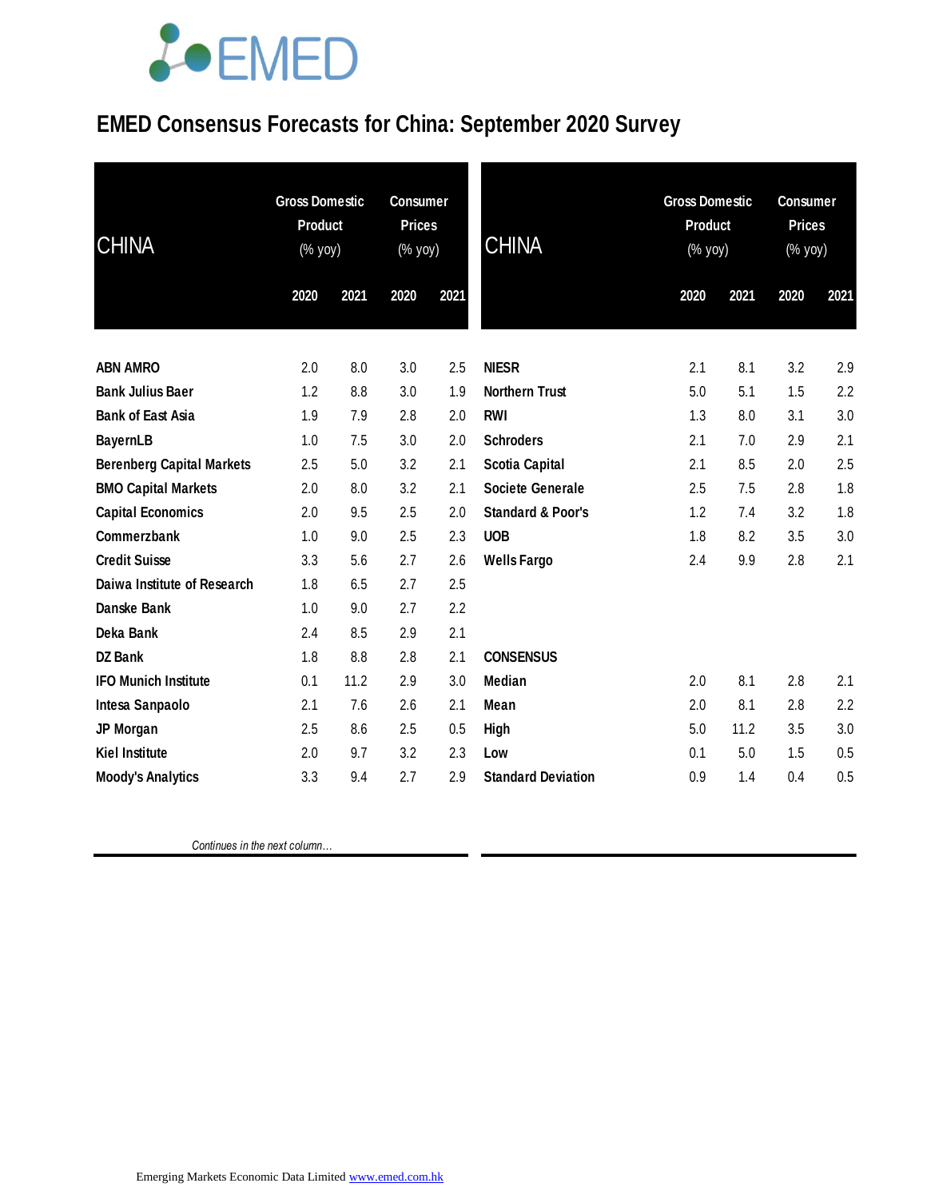# **JOEMED**

### **EMED Consensus Forecasts for China: September 2020 Survey**

| <b>CHINA</b>                     | <b>Gross Domestic</b><br><b>Product</b><br>(% yoy) |      | <b>Consumer</b><br><b>Prices</b><br>(% yoy) |      | <b>CHINA</b>                 | <b>Gross Domestic</b><br>Product<br>(% yoy) |      | <b>Consumer</b><br><b>Prices</b><br>(% yoy) |      |
|----------------------------------|----------------------------------------------------|------|---------------------------------------------|------|------------------------------|---------------------------------------------|------|---------------------------------------------|------|
|                                  | 2020                                               | 2021 | 2020                                        | 2021 |                              | 2020                                        | 2021 | 2020                                        | 2021 |
| <b>ABN AMRO</b>                  | 2.0                                                | 8.0  | 3.0                                         | 2.5  | <b>NIESR</b>                 | 2.1                                         | 8.1  | 3.2                                         | 2.9  |
| <b>Bank Julius Baer</b>          | 1.2                                                | 8.8  | 3.0                                         | 1.9  | <b>Northern Trust</b>        | 5.0                                         | 5.1  | 1.5                                         | 2.2  |
| <b>Bank of East Asia</b>         | 1.9                                                | 7.9  | 2.8                                         | 2.0  | <b>RWI</b>                   | 1.3                                         | 8.0  | 3.1                                         | 3.0  |
| <b>BayernLB</b>                  | 1.0                                                | 7.5  | 3.0                                         | 2.0  | <b>Schroders</b>             | 2.1                                         | 7.0  | 2.9                                         | 2.1  |
| <b>Berenberg Capital Markets</b> | 2.5                                                | 5.0  | 3.2                                         | 2.1  | <b>Scotia Capital</b>        | 2.1                                         | 8.5  | 2.0                                         | 2.5  |
| <b>BMO Capital Markets</b>       | 2.0                                                | 8.0  | 3.2                                         | 2.1  | <b>Societe Generale</b>      | 2.5                                         | 7.5  | 2.8                                         | 1.8  |
| <b>Capital Economics</b>         | 2.0                                                | 9.5  | 2.5                                         | 2.0  | <b>Standard &amp; Poor's</b> | 1.2                                         | 7.4  | 3.2                                         | 1.8  |
| Commerzbank                      | 1.0                                                | 9.0  | 2.5                                         | 2.3  | <b>UOB</b>                   | 1.8                                         | 8.2  | 3.5                                         | 3.0  |
| <b>Credit Suisse</b>             | 3.3                                                | 5.6  | 2.7                                         | 2.6  | <b>Wells Fargo</b>           | 2.4                                         | 9.9  | 2.8                                         | 2.1  |
| Daiwa Institute of Research      | 1.8                                                | 6.5  | 2.7                                         | 2.5  |                              |                                             |      |                                             |      |
| Danske Bank                      | 1.0                                                | 9.0  | 2.7                                         | 2.2  |                              |                                             |      |                                             |      |
| Deka Bank                        | 2.4                                                | 8.5  | 2.9                                         | 2.1  |                              |                                             |      |                                             |      |
| <b>DZ Bank</b>                   | 1.8                                                | 8.8  | 2.8                                         | 2.1  | <b>CONSENSUS</b>             |                                             |      |                                             |      |
| <b>IFO Munich Institute</b>      | 0.1                                                | 11.2 | 2.9                                         | 3.0  | <b>Median</b>                | 2.0                                         | 8.1  | 2.8                                         | 2.1  |
| Intesa Sanpaolo                  | 2.1                                                | 7.6  | 2.6                                         | 2.1  | Mean                         | 2.0                                         | 8.1  | 2.8                                         | 2.2  |
| JP Morgan                        | 2.5                                                | 8.6  | 2.5                                         | 0.5  | <b>High</b>                  | 5.0                                         | 11.2 | 3.5                                         | 3.0  |
| <b>Kiel Institute</b>            | 2.0                                                | 9.7  | 3.2                                         | 2.3  | Low                          | 0.1                                         | 5.0  | 1.5                                         | 0.5  |
| <b>Moody's Analytics</b>         | 3.3                                                | 9.4  | 2.7                                         | 2.9  | <b>Standard Deviation</b>    | 0.9                                         | 1.4  | 0.4                                         | 0.5  |